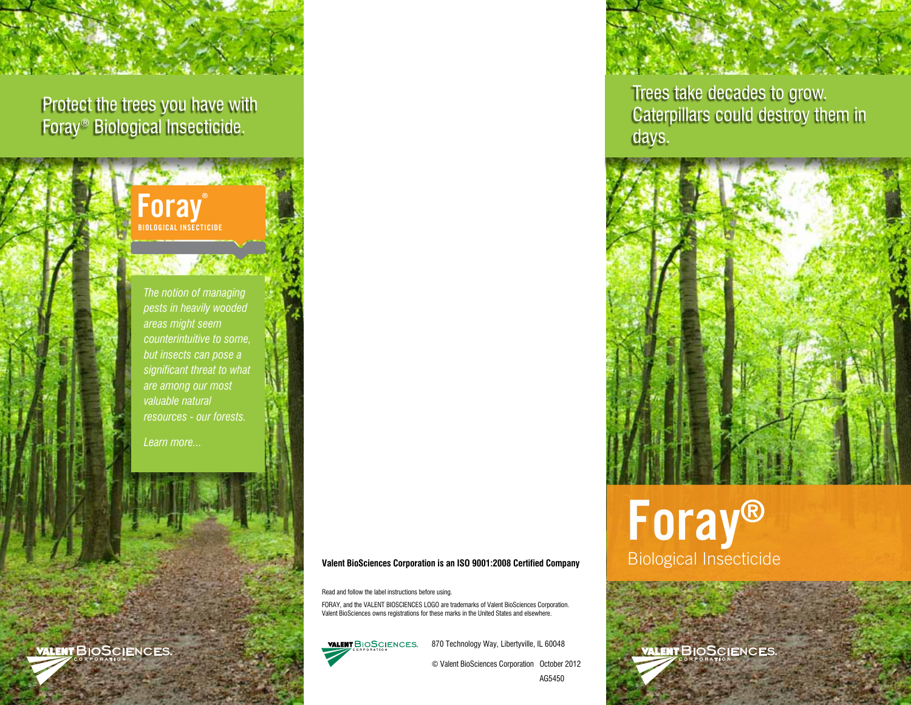Protect the trees you have with Foray® Biological Insecticide.

> Foray LOGICAL INSECTICIDE

*The notion of managing pests in heavily wooded areas might seem counterintuitive to some, but insects can pose a significant threat to what are among our most valuable natural resources - our forests.*

*Learn more...*

#### **Valent BioSciences Corporation is an ISO 9001:2008 Certified Company**

Read and follow the label instructions before using.

FORAY, and the VALENT BIOSCIENCES LOGO are trademarks of Valent BioSciences Corporation. Valent BioSciences owns registrations for these marks in the United States and elsewhere.

**VALENT BIOSCIENCES.** 

870 Technology Way, Libertyville, IL 60048

© Valent BioSciences Corporation October 2012

Trees take decades to grow. Caterpillars could destroy them in days.



# Foray® Biological Insecticide

**ALENT BIOSCIENCES.**